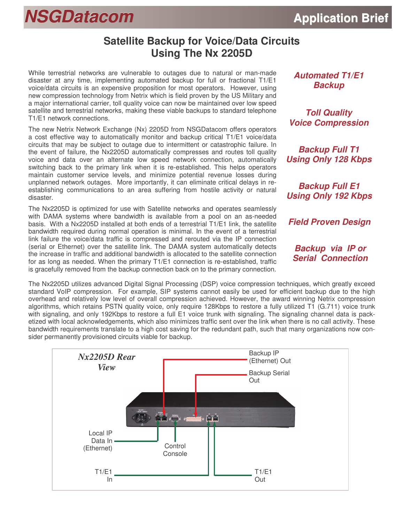## **NSGDatacom Application** Brief

## **Satellite Backup for Voice/Data Circuits Using The Nx 2205D**

While terrestrial networks are vulnerable to outages due to natural or man-made disaster at any time, implementing automated backup for full or fractional T1/E1 voice/data circuits is an expensive proposition for most operators. However, using new compression technology from Netrix which is field proven by the US Military and a major international carrier, toll quality voice can now be maintained over low speed satellite and terrestrial networks, making these viable backups to standard telephone T1/E1 network connections.

The new Netrix Network Exchange (Nx) 2205D from NSGDatacom offers operators a cost effective way to automatically monitor and backup critical T1/E1 voice/data circuits that may be subject to outage due to intermittent or catastrophic failure. In the event of failure, the Nx2205D automatically compresses and routes toll quality voice and data over an alternate low speed network connection, automatically switching back to the primary link when it is re-established. This helps operators maintain customer service levels, and minimize potential revenue losses during unplanned network outages. More importantly, it can eliminate critical delays in reestablishing communications to an area suffering from hostile activity or natural disaster.

The Nx2205D is optimized for use with Satellite networks and operates seamlessly with DAMA systems where bandwidth is available from a pool on an as-needed basis. With a Nx2205D installed at both ends of a terrestrial T1/E1 link, the satellite bandwidth required during normal operation is minimal. In the event of a terrestrial link failure the voice/data traffic is compressed and rerouted via the IP connection (serial or Ethernet) over the satellite link. The DAMA system automatically detects the increase in traffic and additional bandwidth is allocated to the satellite connection for as long as needed. When the primary T1/E1 connection is re-established, traffic is gracefully removed from the backup connection back on to the primary connection. *Automated T1/E1 Backup*

*Toll Quality Voice Compression*

*Backup Full T1 Using Only 128 Kbps*

*Backup Full E1 Using Only 192 Kbps*

*Field Proven Design*

*Backup via IP or Serial Connection*

The Nx2205D utilizes advanced Digital Signal Processing (DSP) voice compression techniques, which greatly exceed standard VoIP compression. For example, SIP systems cannot easily be used for efficient backup due to the high overhead and relatively low level of overall compression achieved. However, the award winning Netrix compression algorithms, which retains PSTN quality voice, only require 128Kbps to restore a fully utilized T1 (G.711) voice trunk with signaling, and only 192Kbps to restore a full E1 voice trunk with signaling. The signaling channel data is packetized with local acknowledgements, which also minimizes traffic sent over the link when there is no call activity. These bandwidth requirements translate to a high cost saving for the redundant path, such that many organizations now consider permanently provisioned circuits viable for backup.